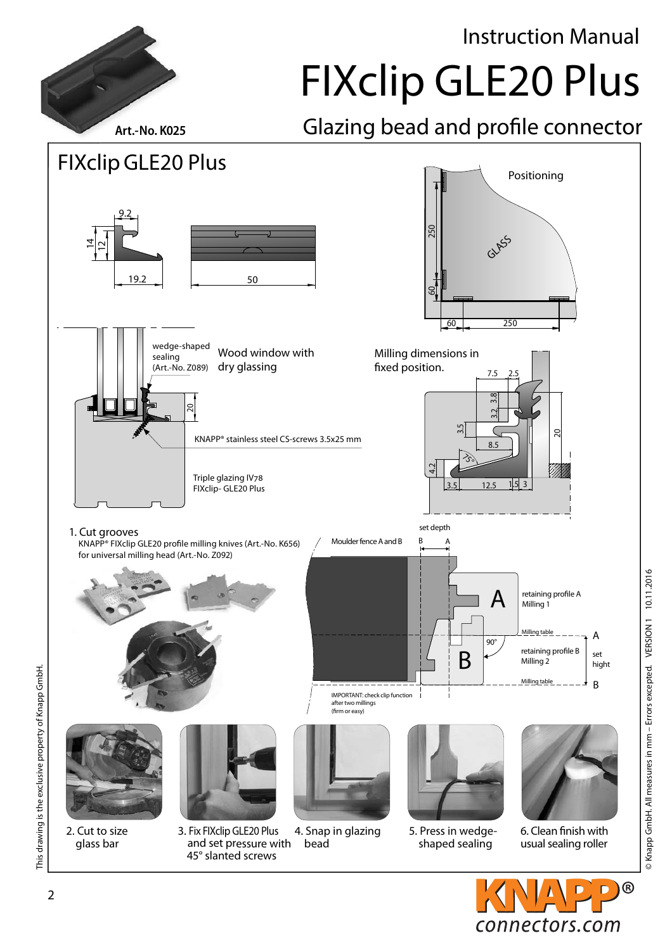Instruction Manual

FIXclip GLE20 Plus

Art.-No. K025 **Glazing bead and profile connector** 



© Knapp GmbH. All measures in mm – Errors excepted. VERSION 1 10.11.2016

© Knapp GmbH. All measures in mm - Errors excepted. VERSION 1 10.11.2016

This drawing is the exclusive property of Knapp GmbH.

This drawing is the exclusive property of Knapp GmbH.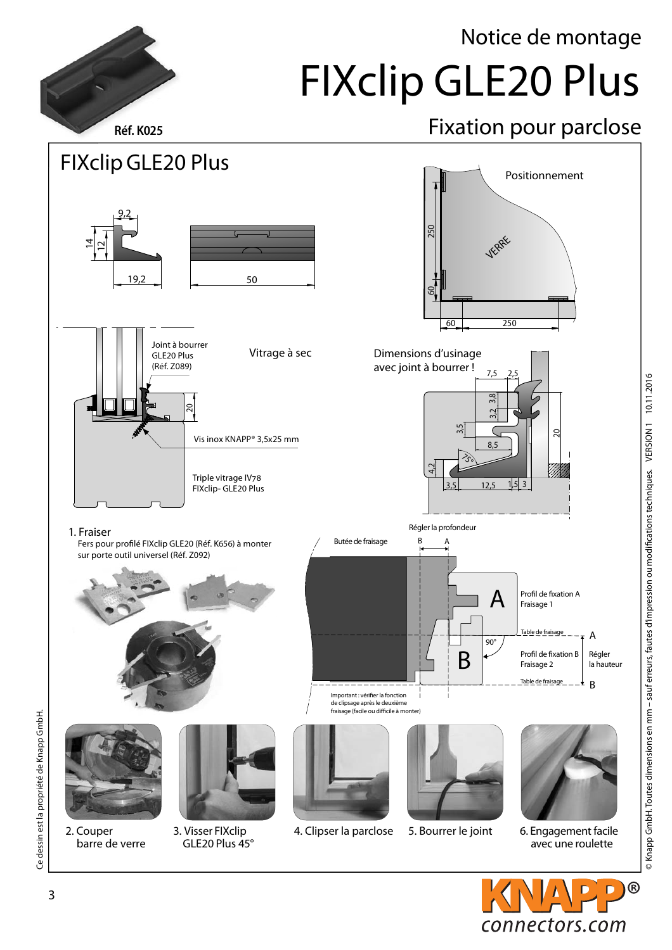## Notice de montage FIXclip GLE20 Plus

## Réf. K025 Ref. K025



 $^{\circledR}$ 

connectors.com

3